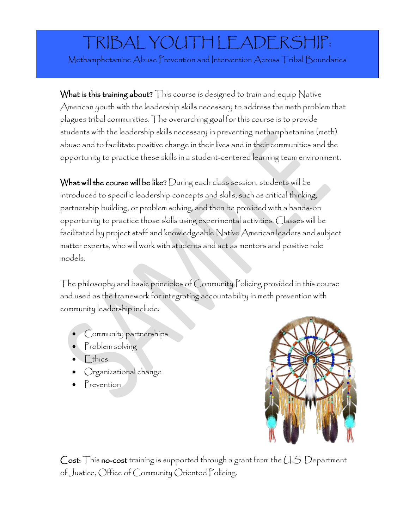## TRIBAL YOUTH LEADERSHIP:

Methamphetamine Abuse Prevention and Intervention Across Tribal Boundaries

What is this training about? This course is designed to train and equip Native American youth with the leadership skills necessary to address the meth problem that plagues tribal communities. The overarching goal for this course is to provide students with the leadership skills necessary in preventing methamphetamine (meth) abuse and to facilitate positive change in their lives and in their communities and the opportunity to practice these skills in a student-centered learning team environment.

What will the course will be like? During each class session, students will be introduced to specific leadership concepts and skills, such as critical thinking, partnership building, or problem solving, and then be provided with a hands-on opportunity to practice those skills using experimental activities. Classes will be facilitated by project staff and knowledgeable Native American leaders and subject matter experts, who will work with students and act as mentors and positive role models.

The philosophy and basic principles of Community Policing provided in this course and used as the framework for integrating accountability in meth prevention with community leadership include:

- Community partnerships
- Problem solving
- Ethics
- Organizational change
- Prevention



Cost: This no-cost training is supported through a grant from the U.S. Department of Justice, Office of Community Oriented Policing.